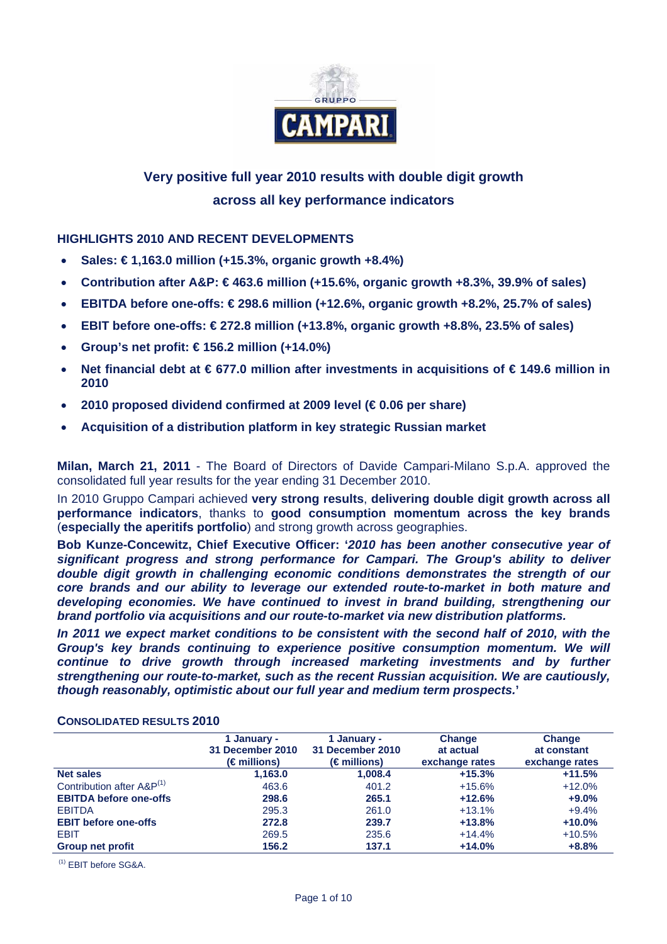

# **Very positive full year 2010 results with double digit growth across all key performance indicators**

## **HIGHLIGHTS 2010 AND RECENT DEVELOPMENTS**

- **Sales: € 1,163.0 million (+15.3%, organic growth +8.4%)**
- **Contribution after A&P: € 463.6 million (+15.6%, organic growth +8.3%, 39.9% of sales)**
- **EBITDA before one-offs: € 298.6 million (+12.6%, organic growth +8.2%, 25.7% of sales)**
- **EBIT before one-offs: € 272.8 million (+13.8%, organic growth +8.8%, 23.5% of sales)**
- **Group's net profit: € 156.2 million (+14.0%)**
- **Net financial debt at € 677.0 million after investments in acquisitions of € 149.6 million in 2010**
- **2010 proposed dividend confirmed at 2009 level (€ 0.06 per share)**
- **Acquisition of a distribution platform in key strategic Russian market**

**Milan, March 21, 2011** - The Board of Directors of Davide Campari-Milano S.p.A. approved the consolidated full year results for the year ending 31 December 2010.

In 2010 Gruppo Campari achieved **very strong results**, **delivering double digit growth across all performance indicators**, thanks to **good consumption momentum across the key brands**  (**especially the aperitifs portfolio**) and strong growth across geographies.

**Bob Kunze-Concewitz, Chief Executive Officer: '***2010 has been another consecutive year of significant progress and strong performance for Campari. The Group's ability to deliver double digit growth in challenging economic conditions demonstrates the strength of our core brands and our ability to leverage our extended route-to-market in both mature and developing economies. We have continued to invest in brand building, strengthening our brand portfolio via acquisitions and our route-to-market via new distribution platforms.* 

In 2011 we expect market conditions to be consistent with the second half of 2010, with the *Group's key brands continuing to experience positive consumption momentum. We will continue to drive growth through increased marketing investments and by further strengthening our route-to-market, such as the recent Russian acquisition. We are cautiously, though reasonably, optimistic about our full year and medium term prospects.***'**

### **CONSOLIDATED RESULTS 2010**

|                                       | 1 January -<br>31 December 2010<br>(€millions) | 1 January -<br>31 December 2010<br>$(\epsilon$ millions) | Change<br>at actual<br>exchange rates | <b>Change</b><br>at constant<br>exchange rates |
|---------------------------------------|------------------------------------------------|----------------------------------------------------------|---------------------------------------|------------------------------------------------|
| <b>Net sales</b>                      | 1,163.0                                        | 1,008.4                                                  | $+15.3%$                              | $+11.5%$                                       |
| Contribution after A&P <sup>(1)</sup> | 463.6                                          | 401.2                                                    | $+15.6%$                              | $+12.0%$                                       |
| <b>EBITDA before one-offs</b>         | 298.6                                          | 265.1                                                    | $+12.6%$                              | $+9.0%$                                        |
| <b>EBITDA</b>                         | 295.3                                          | 261.0                                                    | $+13.1%$                              | $+9.4%$                                        |
| <b>EBIT before one-offs</b>           | 272.8                                          | 239.7                                                    | $+13.8%$                              | $+10.0%$                                       |
| <b>EBIT</b>                           | 269.5                                          | 235.6                                                    | $+14.4%$                              | $+10.5%$                                       |
| <b>Group net profit</b>               | 156.2                                          | 137.1                                                    | $+14.0%$                              | $+8.8%$                                        |

(1) EBIT before SG&A.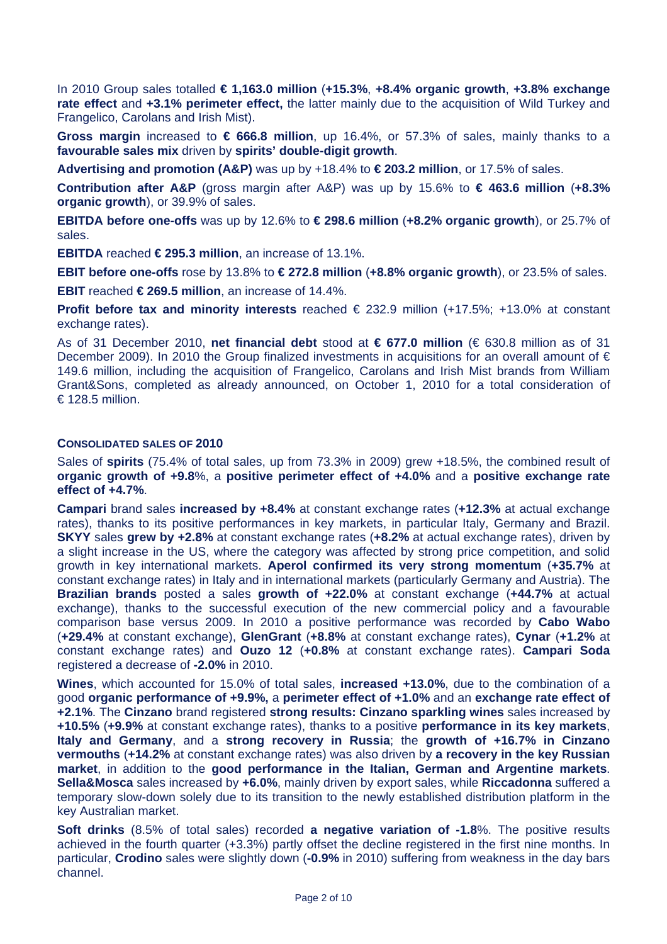In 2010 Group sales totalled **€ 1,163.0 million** (**+15.3%**, **+8.4% organic growth**, **+3.8% exchange rate effect** and **+3.1% perimeter effect,** the latter mainly due to the acquisition of Wild Turkey and Frangelico, Carolans and Irish Mist).

**Gross margin** increased to **€ 666.8 million**, up 16.4%, or 57.3% of sales, mainly thanks to a **favourable sales mix** driven by **spirits' double-digit growth**.

**Advertising and promotion (A&P)** was up by +18.4% to **€ 203.2 million**, or 17.5% of sales.

**Contribution after A&P** (gross margin after A&P) was up by 15.6% to **€ 463.6 million** (**+8.3% organic growth**), or 39.9% of sales.

**EBITDA before one-offs** was up by 12.6% to **€ 298.6 million** (**+8.2% organic growth**), or 25.7% of sales.

**EBITDA** reached **€ 295.3 million**, an increase of 13.1%.

**EBIT before one-offs** rose by 13.8% to **€ 272.8 million** (**+8.8% organic growth**), or 23.5% of sales.

**EBIT** reached **€ 269.5 million**, an increase of 14.4%.

**Profit before tax and minority interests** reached € 232.9 million (+17.5%; +13.0% at constant exchange rates).

As of 31 December 2010, **net financial debt** stood at **€ 677.0 million** (€ 630.8 million as of 31 December 2009). In 2010 the Group finalized investments in acquisitions for an overall amount of € 149.6 million, including the acquisition of Frangelico, Carolans and Irish Mist brands from William Grant&Sons, completed as already announced, on October 1, 2010 for a total consideration of € 128.5 million.

## **CONSOLIDATED SALES OF 2010**

Sales of **spirits** (75.4% of total sales, up from 73.3% in 2009) grew +18.5%, the combined result of **organic growth of +9.8**%, a **positive perimeter effect of +4.0%** and a **positive exchange rate effect of +4.7%**.

**Campari** brand sales **increased by +8.4%** at constant exchange rates (**+12.3%** at actual exchange rates), thanks to its positive performances in key markets, in particular Italy, Germany and Brazil. **SKYY** sales **grew by +2.8%** at constant exchange rates (**+8.2%** at actual exchange rates), driven by a slight increase in the US, where the category was affected by strong price competition, and solid growth in key international markets. **Aperol confirmed its very strong momentum** (**+35.7%** at constant exchange rates) in Italy and in international markets (particularly Germany and Austria). The **Brazilian brands** posted a sales **growth of +22.0%** at constant exchange (**+44.7%** at actual exchange), thanks to the successful execution of the new commercial policy and a favourable comparison base versus 2009. In 2010 a positive performance was recorded by **Cabo Wabo** (**+29.4%** at constant exchange), **GlenGrant** (**+8.8%** at constant exchange rates), **Cynar** (**+1.2%** at constant exchange rates) and **Ouzo 12** (**+0.8%** at constant exchange rates). **Campari Soda** registered a decrease of **-2.0%** in 2010.

**Wines**, which accounted for 15.0% of total sales, **increased +13.0%**, due to the combination of a good **organic performance of +9.9%,** a **perimeter effect of +1.0%** and an **exchange rate effect of +2.1%**. The **Cinzano** brand registered **strong results: Cinzano sparkling wines** sales increased by **+10.5%** (**+9.9%** at constant exchange rates), thanks to a positive **performance in its key markets**, **Italy and Germany**, and a **strong recovery in Russia**; the **growth of +16.7% in Cinzano vermouths** (**+14.2%** at constant exchange rates) was also driven by **a recovery in the key Russian market**, in addition to the **good performance in the Italian, German and Argentine markets**. **Sella&Mosca** sales increased by **+6.0%**, mainly driven by export sales, while **Riccadonna** suffered a temporary slow-down solely due to its transition to the newly established distribution platform in the key Australian market.

**Soft drinks** (8.5% of total sales) recorded **a negative variation of -1.8**%. The positive results achieved in the fourth quarter (+3.3%) partly offset the decline registered in the first nine months. In particular, **Crodino** sales were slightly down (**-0.9%** in 2010) suffering from weakness in the day bars channel.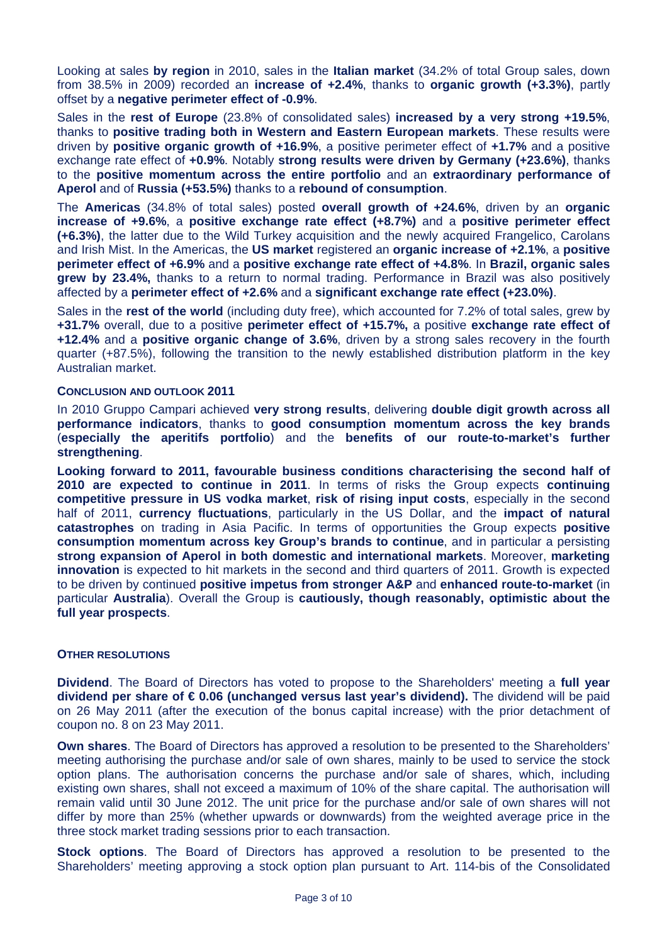Looking at sales **by region** in 2010, sales in the **Italian market** (34.2% of total Group sales, down from 38.5% in 2009) recorded an **increase of +2.4%**, thanks to **organic growth (+3.3%)**, partly offset by a **negative perimeter effect of -0.9%**.

Sales in the **rest of Europe** (23.8% of consolidated sales) **increased by a very strong +19.5%**, thanks to **positive trading both in Western and Eastern European markets**. These results were driven by **positive organic growth of +16.9%**, a positive perimeter effect of **+1.7%** and a positive exchange rate effect of **+0.9%**. Notably **strong results were driven by Germany (+23.6%)**, thanks to the **positive momentum across the entire portfolio** and an **extraordinary performance of Aperol** and of **Russia (+53.5%)** thanks to a **rebound of consumption**.

The **Americas** (34.8% of total sales) posted **overall growth of +24.6%**, driven by an **organic increase of +9.6%**, a **positive exchange rate effect (+8.7%)** and a **positive perimeter effect (+6.3%)**, the latter due to the Wild Turkey acquisition and the newly acquired Frangelico, Carolans and Irish Mist. In the Americas, the **US market** registered an **organic increase of +2.1%**, a **positive perimeter effect of +6.9%** and a **positive exchange rate effect of +4.8%**. In **Brazil, organic sales grew by 23.4%,** thanks to a return to normal trading. Performance in Brazil was also positively affected by a **perimeter effect of +2.6%** and a **significant exchange rate effect (+23.0%)**.

Sales in the **rest of the world** (including duty free), which accounted for 7.2% of total sales, grew by **+31.7%** overall, due to a positive **perimeter effect of +15.7%,** a positive **exchange rate effect of +12.4%** and a **positive organic change of 3.6%**, driven by a strong sales recovery in the fourth quarter (+87.5%), following the transition to the newly established distribution platform in the key Australian market.

#### **CONCLUSION AND OUTLOOK 2011**

In 2010 Gruppo Campari achieved **very strong results**, delivering **double digit growth across all performance indicators**, thanks to **good consumption momentum across the key brands**  (**especially the aperitifs portfolio**) and the **benefits of our route-to-market's further strengthening**.

**Looking forward to 2011, favourable business conditions characterising the second half of 2010 are expected to continue in 2011**. In terms of risks the Group expects **continuing competitive pressure in US vodka market**, **risk of rising input costs**, especially in the second half of 2011, **currency fluctuations**, particularly in the US Dollar, and the **impact of natural catastrophes** on trading in Asia Pacific. In terms of opportunities the Group expects **positive consumption momentum across key Group's brands to continue**, and in particular a persisting **strong expansion of Aperol in both domestic and international markets**. Moreover, **marketing innovation** is expected to hit markets in the second and third quarters of 2011. Growth is expected to be driven by continued **positive impetus from stronger A&P** and **enhanced route-to-market** (in particular **Australia**). Overall the Group is **cautiously, though reasonably, optimistic about the full year prospects**.

### **OTHER RESOLUTIONS**

**Dividend**. The Board of Directors has voted to propose to the Shareholders' meeting a **full year dividend per share of € 0.06 (unchanged versus last year's dividend).** The dividend will be paid on 26 May 2011 (after the execution of the bonus capital increase) with the prior detachment of coupon no. 8 on 23 May 2011.

**Own shares**. The Board of Directors has approved a resolution to be presented to the Shareholders' meeting authorising the purchase and/or sale of own shares, mainly to be used to service the stock option plans. The authorisation concerns the purchase and/or sale of shares, which, including existing own shares, shall not exceed a maximum of 10% of the share capital. The authorisation will remain valid until 30 June 2012. The unit price for the purchase and/or sale of own shares will not differ by more than 25% (whether upwards or downwards) from the weighted average price in the three stock market trading sessions prior to each transaction.

**Stock options**. The Board of Directors has approved a resolution to be presented to the Shareholders' meeting approving a stock option plan pursuant to Art. 114-bis of the Consolidated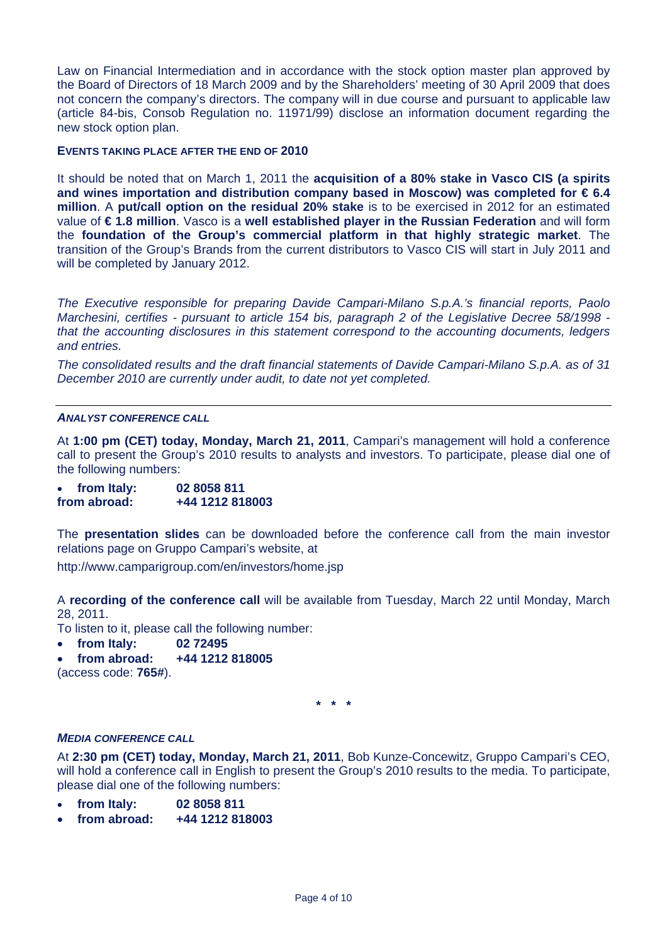Law on Financial Intermediation and in accordance with the stock option master plan approved by the Board of Directors of 18 March 2009 and by the Shareholders' meeting of 30 April 2009 that does not concern the company's directors. The company will in due course and pursuant to applicable law (article 84-bis, Consob Regulation no. 11971/99) disclose an information document regarding the new stock option plan.

### **EVENTS TAKING PLACE AFTER THE END OF 2010**

It should be noted that on March 1, 2011 the **acquisition of a 80% stake in Vasco CIS (a spirits and wines importation and distribution company based in Moscow) was completed for € 6.4 million**. A **put/call option on the residual 20% stake** is to be exercised in 2012 for an estimated value of **€ 1.8 million**. Vasco is a **well established player in the Russian Federation** and will form the **foundation of the Group's commercial platform in that highly strategic market**. The transition of the Group's Brands from the current distributors to Vasco CIS will start in July 2011 and will be completed by January 2012.

*The Executive responsible for preparing Davide Campari-Milano S.p.A.'s financial reports, Paolo Marchesini, certifies - pursuant to article 154 bis, paragraph 2 of the Legislative Decree 58/1998 that the accounting disclosures in this statement correspond to the accounting documents, ledgers and entries.* 

*The consolidated results and the draft financial statements of Davide Campari-Milano S.p.A. as of 31 December 2010 are currently under audit, to date not yet completed.* 

### *ANALYST CONFERENCE CALL*

At **1:00 pm (CET) today, Monday, March 21, 2011**, Campari's management will hold a conference call to present the Group's 2010 results to analysts and investors. To participate, please dial one of the following numbers:

• **from Italy: 02 8058 811 from abroad: +44 1212 818003**

The **presentation slides** can be downloaded before the conference call from the main investor relations page on Gruppo Campari's website, at

http://www.camparigroup.com/en/investors/home.jsp

A **recording of the conference call** will be available from Tuesday, March 22 until Monday, March 28, 2011.

To listen to it, please call the following number:

- **from Italy: 02 72495**
- **from abroad: +44 1212 818005**

(access code: **765#**).

**\* \* \*** 

### *MEDIA CONFERENCE CALL*

At **2:30 pm (CET) today, Monday, March 21, 2011**, Bob Kunze-Concewitz, Gruppo Campari's CEO, will hold a conference call in English to present the Group's 2010 results to the media. To participate, please dial one of the following numbers:

- **from Italy: 02 8058 811**
- **from abroad: +44 1212 818003**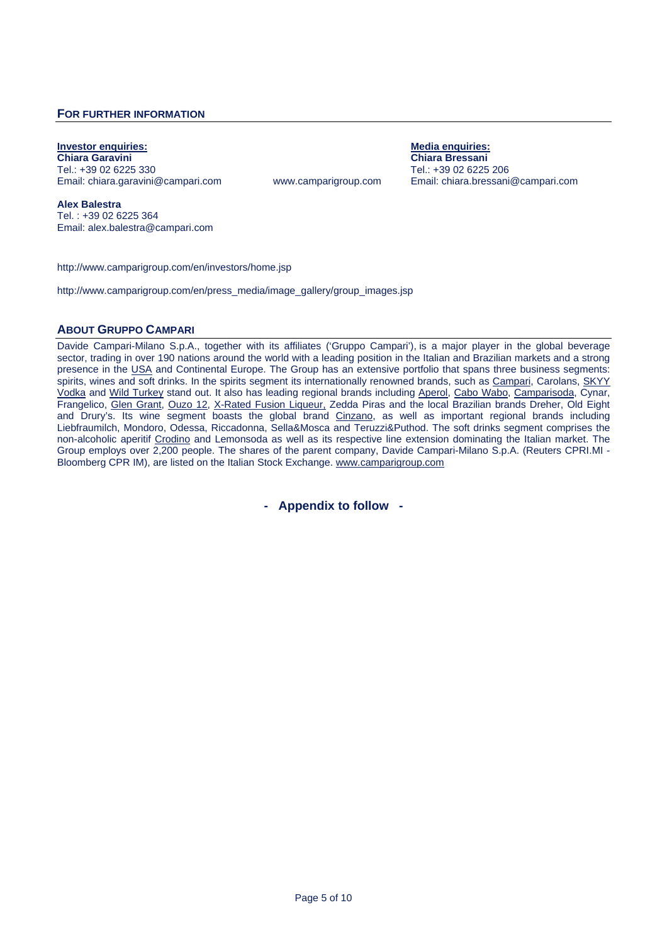### **FOR FURTHER INFORMATION**

<u>Investor enquiries:</u> The Contract of Chiara Garavini Chiara Garavini Chiara Garavini Chiara Garavini Chiara Bressani<br>Chiara Garavini Chiara Garavini Chiara Garavini Chiara Garavini Chiara Garavini Chiara Garavini Chiara G Tel.: +39 02 6225 330 Tel.: +39 02 6225 206 Email: chiara.garavini@campari.com www.camparigroup.com Email: chiara.bressani@campari.com

**Chiara Bressani** 

**Alex Balestra** Tel. : +39 02 6225 364 Email: alex.balestra@campari.com

http://www.camparigroup.com/en/investors/home.jsp

http://www.camparigroup.com/en/press\_media/image\_gallery/group\_images.jsp

#### **ABOUT GRUPPO CAMPARI**

Davide Campari-Milano S.p.A., together with its affiliates ('Gruppo Campari'), is a major player in the global beverage sector, trading in over 190 nations around the world with a leading position in the Italian and Brazilian markets and a strong presence in the USA and Continental Europe. The Group has an extensive portfolio that spans three business segments: spirits, wines and soft drinks. In the spirits segment its internationally renowned brands, such as Campari, Carolans, SKYY Vodka and Wild Turkey stand out. It also has leading regional brands including Aperol, Cabo Wabo, Camparisoda, Cynar, Frangelico, Glen Grant, Ouzo 12, X-Rated Fusion Liqueur, Zedda Piras and the local Brazilian brands Dreher, Old Eight and Drury's. Its wine segment boasts the global brand Cinzano, as well as important regional brands including Liebfraumilch, Mondoro, Odessa, Riccadonna, Sella&Mosca and Teruzzi&Puthod. The soft drinks segment comprises the non-alcoholic aperitif Crodino and Lemonsoda as well as its respective line extension dominating the Italian market. The Group employs over 2,200 people. The shares of the parent company, Davide Campari-Milano S.p.A. (Reuters CPRI.MI - Bloomberg CPR IM), are listed on the Italian Stock Exchange. www.camparigroup.com

**- Appendix to follow -**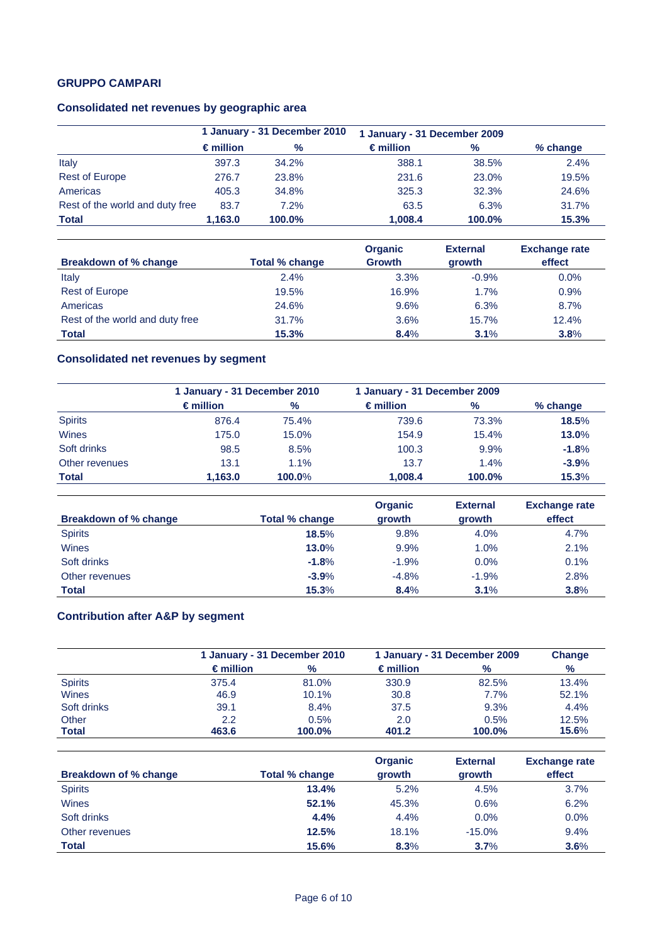## **GRUPPO CAMPARI**

# **Consolidated net revenues by geographic area**

|                                 | 1 January - 31 December 2010 |        | 1 January - 31 December 2009 |        |            |
|---------------------------------|------------------------------|--------|------------------------------|--------|------------|
|                                 | $\epsilon$ million           | $\%$   | $\epsilon$ million           | $\%$   | $%$ change |
| Italy                           | 397.3                        | 34.2%  | 388.1                        | 38.5%  | 2.4%       |
| <b>Rest of Europe</b>           | 276.7                        | 23.8%  | 231.6                        | 23.0%  | 19.5%      |
| Americas                        | 405.3                        | 34.8%  | 325.3                        | 32.3%  | 24.6%      |
| Rest of the world and duty free | 83.7                         | 7.2%   | 63.5                         | 6.3%   | 31.7%      |
| <b>Total</b>                    | 1.163.0                      | 100.0% | 1.008.4                      | 100.0% | 15.3%      |

|                                 |                | <b>Organic</b> | <b>External</b> | <b>Exchange rate</b> |
|---------------------------------|----------------|----------------|-----------------|----------------------|
| <b>Breakdown of % change</b>    | Total % change | <b>Growth</b>  | growth          | effect               |
| Italy                           | 2.4%           | 3.3%           | $-0.9%$         | $0.0\%$              |
| <b>Rest of Europe</b>           | 19.5%          | 16.9%          | 1.7%            | 0.9%                 |
| Americas                        | 24.6%          | 9.6%           | 6.3%            | 8.7%                 |
| Rest of the world and duty free | 31.7%          | 3.6%           | 15.7%           | 12.4%                |
| <b>Total</b>                    | 15.3%          | 8.4%           | 3.1%            | 3.8%                 |

# **Consolidated net revenues by segment**

|                | 1 January - 31 December 2010 |        | 1 January - 31 December 2009 |               |          |  |
|----------------|------------------------------|--------|------------------------------|---------------|----------|--|
|                | $\epsilon$ million           | $\%$   | $\epsilon$ million           | $\frac{0}{0}$ | % change |  |
| <b>Spirits</b> | 876.4                        | 75.4%  | 739.6                        | 73.3%         | 18.5%    |  |
| Wines          | 175.0                        | 15.0%  | 154.9                        | 15.4%         | 13.0%    |  |
| Soft drinks    | 98.5                         | 8.5%   | 100.3                        | 9.9%          | $-1.8%$  |  |
| Other revenues | 13.1                         | 1.1%   | 13.7                         | 1.4%          | $-3.9%$  |  |
| <b>Total</b>   | 1.163.0                      | 100.0% | 1.008.4                      | 100.0%        | 15.3%    |  |

|                       |                | <b>Organic</b> | <b>External</b> | <b>Exchange rate</b> |
|-----------------------|----------------|----------------|-----------------|----------------------|
| Breakdown of % change | Total % change | growth         | growth          | effect               |
| <b>Spirits</b>        | 18.5%          | 9.8%           | 4.0%            | 4.7%                 |
| Wines                 | 13.0%          | 9.9%           | 1.0%            | 2.1%                 |
| Soft drinks           | $-1.8%$        | $-1.9%$        | 0.0%            | 0.1%                 |
| Other revenues        | $-3.9%$        | $-4.8%$        | $-1.9%$         | 2.8%                 |
| <b>Total</b>          | 15.3%          | 8.4%           | 3.1%            | 3.8%                 |

# **Contribution after A&P by segment**

|                       |                    | 1 January - 31 December 2010 |                    | 1 January - 31 December 2009 |                |  |
|-----------------------|--------------------|------------------------------|--------------------|------------------------------|----------------|--|
|                       | $\epsilon$ million | $\%$                         | $\epsilon$ million | $\%$                         | $\%$           |  |
| <b>Spirits</b>        | 375.4              | 81.0%                        | 330.9              | 82.5%                        | 13.4%          |  |
| <b>Wines</b>          | 46.9               | 10.1%                        | 30.8               | 7.7%                         | 52.1%          |  |
| Soft drinks           | 39.1               | 8.4%                         | 37.5               | 9.3%                         | 4.4%           |  |
| Other<br><b>Total</b> | 2.2<br>463.6       | 0.5%<br>100.0%               | 2.0<br>401.2       | 0.5%<br>100.0%               | 12.5%<br>15.6% |  |

| Breakdown of % change | Total % change | <b>Organic</b><br>growth | <b>External</b><br>growth | <b>Exchange rate</b><br>effect |
|-----------------------|----------------|--------------------------|---------------------------|--------------------------------|
| <b>Spirits</b>        | 13.4%          | 5.2%                     | 4.5%                      | 3.7%                           |
| <b>Wines</b>          | 52.1%          | 45.3%                    | 0.6%                      | 6.2%                           |
| Soft drinks           | 4.4%           | 4.4%                     | 0.0%                      | 0.0%                           |
| Other revenues        | 12.5%          | 18.1%                    | $-15.0%$                  | 9.4%                           |
| <b>Total</b>          | 15.6%          | 8.3%                     | 3.7%                      | 3.6%                           |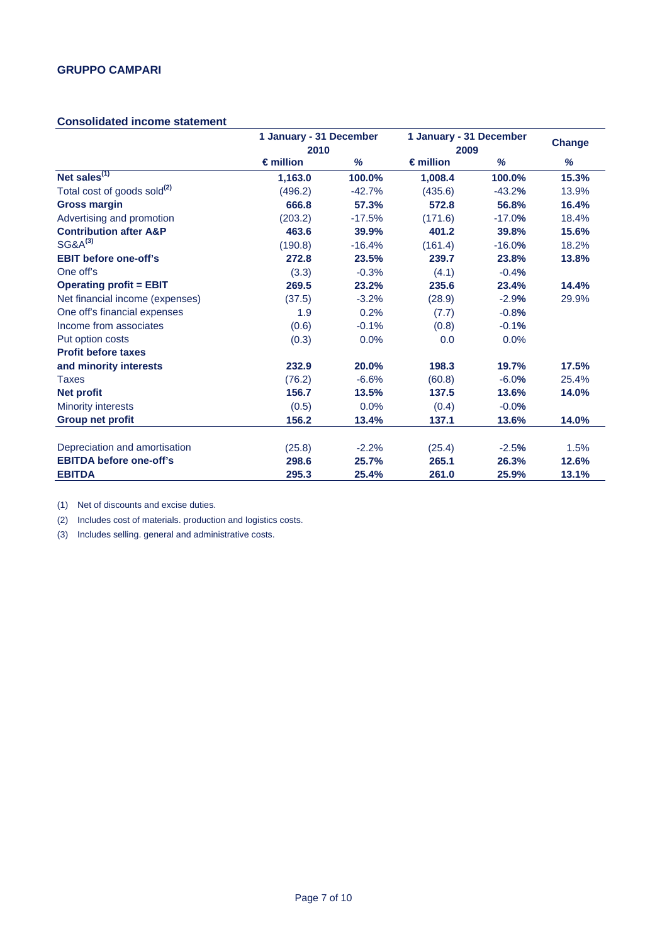## **Consolidated income statement**

|                                         | 1 January - 31 December |          | 1 January - 31 December |          | <b>Change</b> |
|-----------------------------------------|-------------------------|----------|-------------------------|----------|---------------|
|                                         |                         | 2010     |                         | 2009     |               |
|                                         | $\epsilon$ million      | %        | $\epsilon$ million      | %        | %             |
| Net sales $^{(1)}$                      | 1,163.0                 | 100.0%   | 1,008.4                 | 100.0%   | 15.3%         |
| Total cost of goods sold <sup>(2)</sup> | (496.2)                 | $-42.7%$ | (435.6)                 | $-43.2%$ | 13.9%         |
| <b>Gross margin</b>                     | 666.8                   | 57.3%    | 572.8                   | 56.8%    | 16.4%         |
| Advertising and promotion               | (203.2)                 | $-17.5%$ | (171.6)                 | $-17.0%$ | 18.4%         |
| <b>Contribution after A&amp;P</b>       | 463.6                   | 39.9%    | 401.2                   | 39.8%    | 15.6%         |
| $SG&A^{(3)}$                            | (190.8)                 | $-16.4%$ | (161.4)                 | $-16.0%$ | 18.2%         |
| <b>EBIT before one-off's</b>            | 272.8                   | 23.5%    | 239.7                   | 23.8%    | 13.8%         |
| One off's                               | (3.3)                   | $-0.3%$  | (4.1)                   | $-0.4%$  |               |
| <b>Operating profit = EBIT</b>          | 269.5                   | 23.2%    | 235.6                   | 23.4%    | 14.4%         |
| Net financial income (expenses)         | (37.5)                  | $-3.2%$  | (28.9)                  | $-2.9%$  | 29.9%         |
| One off's financial expenses            | 1.9                     | 0.2%     | (7.7)                   | $-0.8%$  |               |
| Income from associates                  | (0.6)                   | $-0.1%$  | (0.8)                   | $-0.1%$  |               |
| Put option costs                        | (0.3)                   | 0.0%     | 0.0                     | 0.0%     |               |
| <b>Profit before taxes</b>              |                         |          |                         |          |               |
| and minority interests                  | 232.9                   | 20.0%    | 198.3                   | 19.7%    | 17.5%         |
| <b>Taxes</b>                            | (76.2)                  | $-6.6%$  | (60.8)                  | $-6.0%$  | 25.4%         |
| <b>Net profit</b>                       | 156.7                   | 13.5%    | 137.5                   | 13.6%    | 14.0%         |
| <b>Minority interests</b>               | (0.5)                   | 0.0%     | (0.4)                   | $-0.0%$  |               |
| <b>Group net profit</b>                 | 156.2                   | 13.4%    | 137.1                   | 13.6%    | 14.0%         |
| Depreciation and amortisation           | (25.8)                  | $-2.2%$  | (25.4)                  | $-2.5%$  | 1.5%          |
| <b>EBITDA before one-off's</b>          | 298.6                   | 25.7%    | 265.1                   | 26.3%    | 12.6%         |
| <b>EBITDA</b>                           | 295.3                   | 25.4%    | 261.0                   | 25.9%    | 13.1%         |

(1) Net of discounts and excise duties.

(2) Includes cost of materials. production and logistics costs.

(3) Includes selling. general and administrative costs.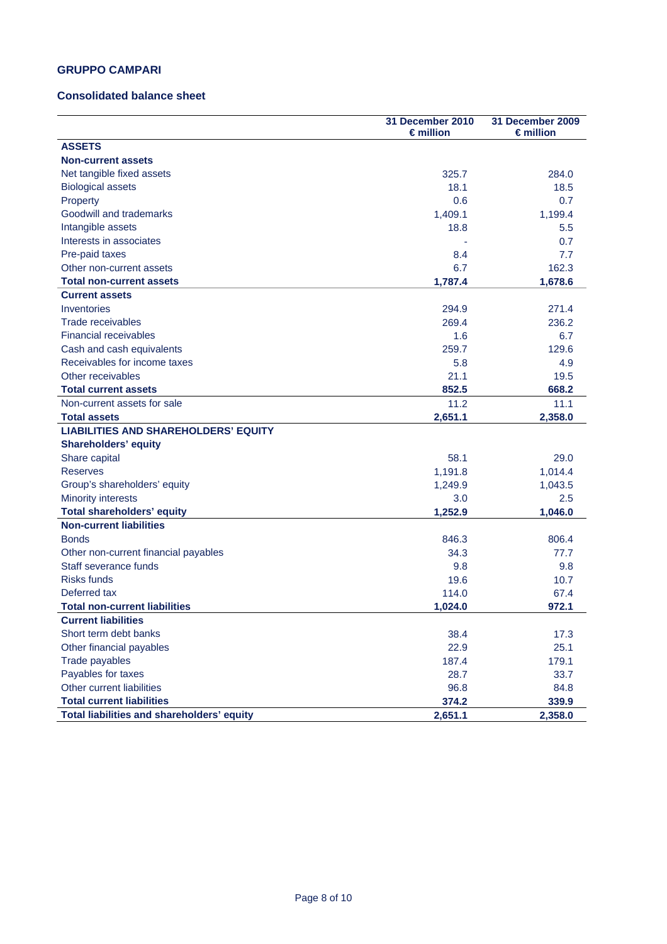## **GRUPPO CAMPARI**

### **Consolidated balance sheet**

|                                             | 31 December 2010<br>€million | 31 December 2009<br>$\epsilon$ million |
|---------------------------------------------|------------------------------|----------------------------------------|
| <b>ASSETS</b>                               |                              |                                        |
| <b>Non-current assets</b>                   |                              |                                        |
| Net tangible fixed assets                   | 325.7                        | 284.0                                  |
| <b>Biological assets</b>                    | 18.1                         | 18.5                                   |
| Property                                    | 0.6                          | 0.7                                    |
| Goodwill and trademarks                     | 1,409.1                      | 1,199.4                                |
| Intangible assets                           | 18.8                         | 5.5                                    |
| Interests in associates                     |                              | 0.7                                    |
| Pre-paid taxes                              | 8.4                          | 7.7                                    |
| Other non-current assets                    | 6.7                          | 162.3                                  |
| <b>Total non-current assets</b>             | 1,787.4                      | 1,678.6                                |
| <b>Current assets</b>                       |                              |                                        |
| Inventories                                 | 294.9                        | 271.4                                  |
| Trade receivables                           | 269.4                        | 236.2                                  |
| <b>Financial receivables</b>                | 1.6                          | 6.7                                    |
| Cash and cash equivalents                   | 259.7                        | 129.6                                  |
| Receivables for income taxes                | 5.8                          | 4.9                                    |
| Other receivables                           | 21.1                         | 19.5                                   |
| <b>Total current assets</b>                 | 852.5                        | 668.2                                  |
| Non-current assets for sale                 | 11.2                         | 11.1                                   |
| <b>Total assets</b>                         | 2,651.1                      | 2,358.0                                |
| <b>LIABILITIES AND SHAREHOLDERS' EQUITY</b> |                              |                                        |
| <b>Shareholders' equity</b>                 |                              |                                        |
| Share capital                               | 58.1                         | 29.0                                   |
| <b>Reserves</b>                             | 1,191.8                      | 1,014.4                                |
| Group's shareholders' equity                | 1,249.9                      | 1,043.5                                |
| <b>Minority interests</b>                   | 3.0                          | $2.5\,$                                |
| <b>Total shareholders' equity</b>           | 1,252.9                      | 1,046.0                                |
| <b>Non-current liabilities</b>              |                              |                                        |
| <b>Bonds</b>                                | 846.3                        | 806.4                                  |
| Other non-current financial payables        | 34.3                         | 77.7                                   |
| Staff severance funds                       | 9.8                          | 9.8                                    |
| <b>Risks funds</b>                          | 19.6                         | 10.7                                   |
| Deferred tax                                | 114.0                        | 67.4                                   |
| <b>Total non-current liabilities</b>        | 1,024.0                      | 972.1                                  |
| <b>Current liabilities</b>                  |                              |                                        |
| Short term debt banks                       | 38.4                         | 17.3                                   |
| Other financial payables                    | 22.9                         | 25.1                                   |
| Trade payables                              | 187.4                        | 179.1                                  |
| Payables for taxes                          | 28.7                         | 33.7                                   |
| Other current liabilities                   | 96.8                         | 84.8                                   |
| <b>Total current liabilities</b>            | 374.2                        | 339.9                                  |
| Total liabilities and shareholders' equity  | 2,651.1                      | 2,358.0                                |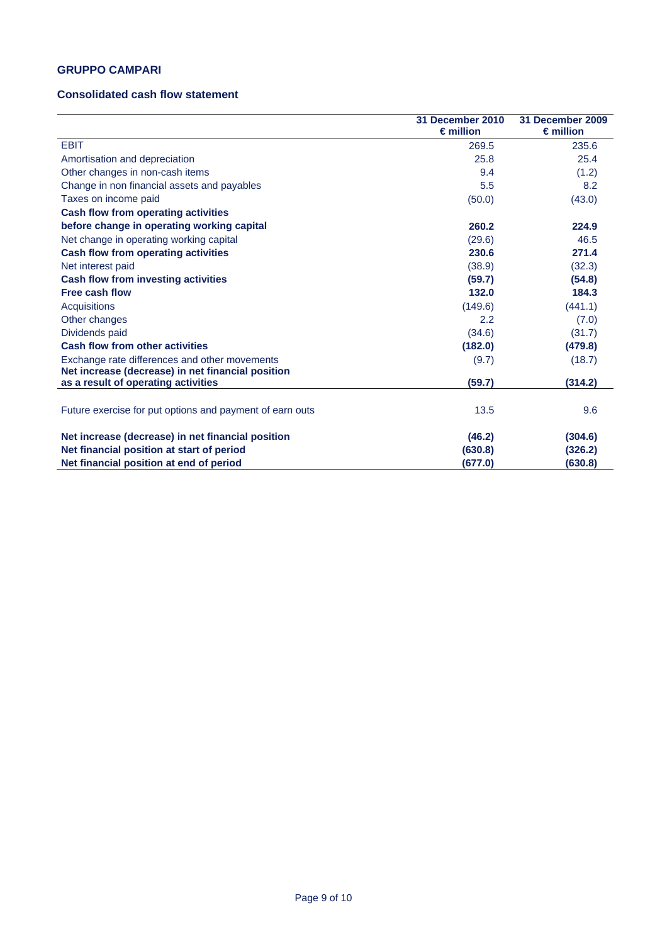## **GRUPPO CAMPARI**

## **Consolidated cash flow statement**

|                                                                                                    | 31 December 2010<br>$\epsilon$ million | 31 December 2009<br>$\epsilon$ million |
|----------------------------------------------------------------------------------------------------|----------------------------------------|----------------------------------------|
| <b>EBIT</b>                                                                                        | 269.5                                  | 235.6                                  |
| Amortisation and depreciation                                                                      | 25.8                                   | 25.4                                   |
| Other changes in non-cash items                                                                    | 9.4                                    | (1.2)                                  |
| Change in non financial assets and payables                                                        | 5.5                                    | 8.2                                    |
| Taxes on income paid                                                                               | (50.0)                                 | (43.0)                                 |
| <b>Cash flow from operating activities</b>                                                         |                                        |                                        |
| before change in operating working capital                                                         | 260.2                                  | 224.9                                  |
| Net change in operating working capital                                                            | (29.6)                                 | 46.5                                   |
| <b>Cash flow from operating activities</b>                                                         | 230.6                                  | 271.4                                  |
| Net interest paid                                                                                  | (38.9)                                 | (32.3)                                 |
| Cash flow from investing activities                                                                | (59.7)                                 | (54.8)                                 |
| <b>Free cash flow</b>                                                                              | 132.0                                  | 184.3                                  |
| Acquisitions                                                                                       | (149.6)                                | (441.1)                                |
| Other changes                                                                                      | 2.2                                    | (7.0)                                  |
| Dividends paid                                                                                     | (34.6)                                 | (31.7)                                 |
| <b>Cash flow from other activities</b>                                                             | (182.0)                                | (479.8)                                |
| Exchange rate differences and other movements<br>Net increase (decrease) in net financial position | (9.7)                                  | (18.7)                                 |
| as a result of operating activities                                                                | (59.7)                                 | (314.2)                                |
| Future exercise for put options and payment of earn outs                                           | 13.5                                   | 9.6                                    |
| Net increase (decrease) in net financial position                                                  | (46.2)                                 | (304.6)                                |
| Net financial position at start of period                                                          | (630.8)                                | (326.2)                                |
| Net financial position at end of period                                                            | (677.0)                                | (630.8)                                |